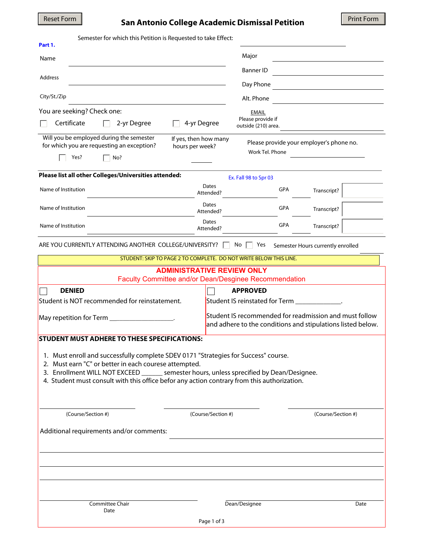# Reset Form **San Antonio College Academic Dismissal Petition**

| Semester for which this Petition is Requested to take Effect:<br>Part 1.                                                                                                                                                                                                                                                                 |                                                                                      |
|------------------------------------------------------------------------------------------------------------------------------------------------------------------------------------------------------------------------------------------------------------------------------------------------------------------------------------------|--------------------------------------------------------------------------------------|
| Name                                                                                                                                                                                                                                                                                                                                     | Major                                                                                |
|                                                                                                                                                                                                                                                                                                                                          | <b>Banner ID</b>                                                                     |
| Address                                                                                                                                                                                                                                                                                                                                  | Day Phone                                                                            |
| City/St./Zip                                                                                                                                                                                                                                                                                                                             | Alt. Phone                                                                           |
| You are seeking? Check one:                                                                                                                                                                                                                                                                                                              | <b>EMAIL</b>                                                                         |
| Certificate<br>2-yr Degree                                                                                                                                                                                                                                                                                                               | Please provide if<br>4-yr Degree<br>outside (210) area.                              |
| Will you be employed during the semester<br>for which you are requesting an exception?<br>hours per week?<br>Yes?<br>No?                                                                                                                                                                                                                 | If yes, then how many<br>Please provide your employer's phone no.<br>Work Tel. Phone |
| Please list all other Colleges/Universities attended:                                                                                                                                                                                                                                                                                    |                                                                                      |
|                                                                                                                                                                                                                                                                                                                                          | Ex. Fall 98 to Spr 03<br>Dates                                                       |
| Name of Institution                                                                                                                                                                                                                                                                                                                      | GPA<br>Transcript?<br>Attended?                                                      |
| Name of Institution                                                                                                                                                                                                                                                                                                                      | Dates<br>GPA<br>Transcript?<br>Attended?                                             |
| Name of Institution                                                                                                                                                                                                                                                                                                                      | Dates<br>GPA<br>Transcript?<br>Attended?                                             |
| ARE YOU CURRENTLY ATTENDING ANOTHER COLLEGE/UNIVERSITY?<br>No<br>Yes<br>Semester Hours currently enrolled                                                                                                                                                                                                                                |                                                                                      |
| STUDENT: SKIP TO PAGE 2 TO COMPLETE. DO NOT WRITE BELOW THIS LINE.                                                                                                                                                                                                                                                                       |                                                                                      |
| <b>ADMINISTRATIVE REVIEW ONLY</b><br>Faculty Committee and/or Dean/Desginee Recommendation                                                                                                                                                                                                                                               |                                                                                      |
| <b>DENIED</b>                                                                                                                                                                                                                                                                                                                            | <b>APPROVED</b>                                                                      |
| Student is NOT recommended for reinstatement.                                                                                                                                                                                                                                                                                            | Student IS reinstated for Term ______________.                                       |
| Student IS recommended for readmission and must follow<br>May repetition for Term ___________________.                                                                                                                                                                                                                                   |                                                                                      |
| and adhere to the conditions and stipulations listed below.                                                                                                                                                                                                                                                                              |                                                                                      |
| <b>STUDENT MUST ADHERE TO THESE SPECIFICATIONS:</b>                                                                                                                                                                                                                                                                                      |                                                                                      |
| 1. Must enroll and successfully complete SDEV 0171 "Strategies for Success" course.<br>2. Must earn "C" or better in each courese attempted.<br>3. Enrollment WILL NOT EXCEED _______ semester hours, unless sprecified by Dean/Designee.<br>4. Student must consult with this office befor any action contrary from this authorization. |                                                                                      |
| (Course/Section #)                                                                                                                                                                                                                                                                                                                       | (Course/Section #)<br>(Course/Section #)                                             |
| Additional requirements and/or comments:                                                                                                                                                                                                                                                                                                 |                                                                                      |
|                                                                                                                                                                                                                                                                                                                                          |                                                                                      |
|                                                                                                                                                                                                                                                                                                                                          |                                                                                      |
| Committee Chair<br>Date                                                                                                                                                                                                                                                                                                                  | Dean/Designee<br>Date                                                                |
|                                                                                                                                                                                                                                                                                                                                          | Page 1 of 3                                                                          |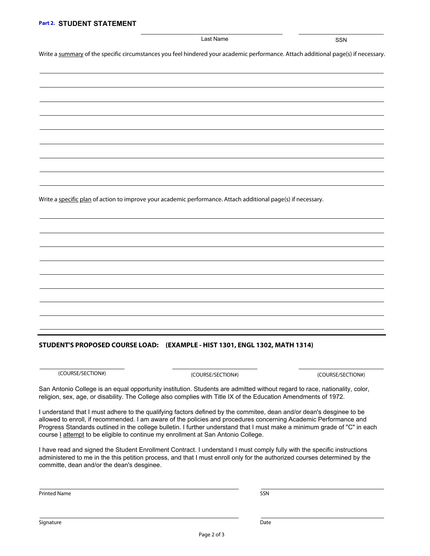#### Last Name SSN

Write a summary of the specific circumstances you feel hindered your academic performance. Attach additional page(s) if necessary.

Write a specific plan of action to improve your academic performance. Attach additional page(s) if necessary.

### **STUDENT'S PROPOSED COURSE LOAD: (EXAMPLE - HIST 1301, ENGL 1302, MATH 1314)**

(COURSE/SECTION#)

(COURSE/SECTION#) (COURSE/SECTION#)

San Antonio College is an equal opportunity institution. Students are admitted without regard to race, nationality, color, religion, sex, age, or disability. The College also complies with Title IX of the Education Amendments of 1972.

I understand that I must adhere to the qualifying factors defined by the commitee, dean and/or dean's desginee to be allowed to enroll, if recommended. I am aware of the policies and procedures concerning Academic Performance and Progress Standards outlined in the college bulletin. I further understand that I must make a minimum grade of "C" in each course *I* attempt to be eligible to continue my enrollment at San Antonio College.

I have read and signed the Student Enrollment Contract. I understand I must comply fully with the specific instructions administered to me in the this petition process, and that I must enroll only for the authorized courses determined by the committe, dean and/or the dean's desginee.

Printed Name

SSN